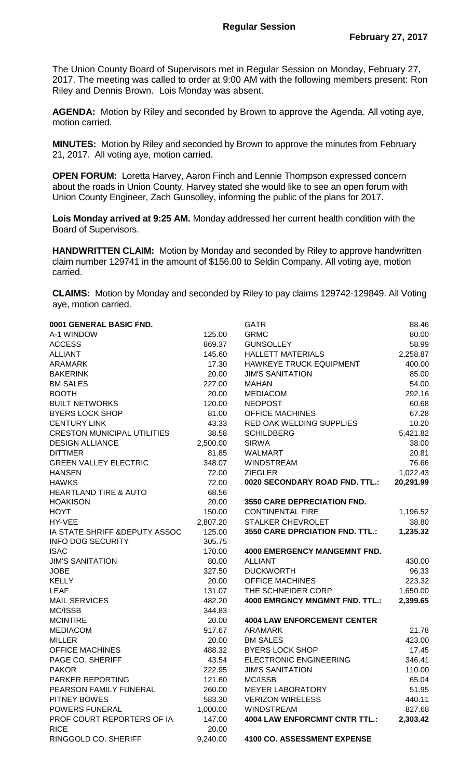The Union County Board of Supervisors met in Regular Session on Monday, February 27, 2017. The meeting was called to order at 9:00 AM with the following members present: Ron Riley and Dennis Brown. Lois Monday was absent.

**AGENDA:** Motion by Riley and seconded by Brown to approve the Agenda. All voting aye, motion carried.

**MINUTES:** Motion by Riley and seconded by Brown to approve the minutes from February 21, 2017. All voting aye, motion carried.

**OPEN FORUM:** Loretta Harvey, Aaron Finch and Lennie Thompson expressed concern about the roads in Union County. Harvey stated she would like to see an open forum with Union County Engineer, Zach Gunsolley, informing the public of the plans for 2017.

**Lois Monday arrived at 9:25 AM.** Monday addressed her current health condition with the Board of Supervisors.

**HANDWRITTEN CLAIM:** Motion by Monday and seconded by Riley to approve handwritten claim number 129741 in the amount of \$156.00 to Seldin Company. All voting aye, motion carried.

**CLAIMS:** Motion by Monday and seconded by Riley to pay claims 129742-129849. All Voting aye, motion carried.

| 0001 GENERAL BASIC FND.            |          | <b>GATR</b>                          | 88.46     |
|------------------------------------|----------|--------------------------------------|-----------|
| A-1 WINDOW                         | 125.00   | <b>GRMC</b>                          | 80.00     |
| <b>ACCESS</b>                      | 869.37   | <b>GUNSOLLEY</b>                     | 58.99     |
| <b>ALLIANT</b>                     | 145.60   | <b>HALLETT MATERIALS</b>             | 2,258.87  |
| <b>ARAMARK</b>                     | 17.30    | HAWKEYE TRUCK EQUIPMENT              | 400.00    |
| <b>BAKERINK</b>                    | 20.00    | <b>JIM'S SANITATION</b>              | 85.00     |
| <b>BM SALES</b>                    | 227.00   | <b>MAHAN</b>                         | 54.00     |
| <b>BOOTH</b>                       | 20.00    | <b>MEDIACOM</b>                      | 292.16    |
| <b>BUILT NETWORKS</b>              | 120.00   | <b>NEOPOST</b>                       | 60.68     |
| <b>BYERS LOCK SHOP</b>             | 81.00    | <b>OFFICE MACHINES</b>               | 67.28     |
| <b>CENTURY LINK</b>                | 43.33    | RED OAK WELDING SUPPLIES             | 10.20     |
| <b>CRESTON MUNICIPAL UTILITIES</b> | 38.58    | <b>SCHILDBERG</b>                    | 5,421.82  |
| <b>DESIGN ALLIANCE</b>             | 2,500.00 | <b>SIRWA</b>                         | 38.00     |
| <b>DITTMER</b>                     | 81.85    | <b>WALMART</b>                       | 20.81     |
| <b>GREEN VALLEY ELECTRIC</b>       | 348.07   | <b>WINDSTREAM</b>                    | 76.66     |
| <b>HANSEN</b>                      | 72.00    | <b>ZIEGLER</b>                       | 1,022.43  |
| <b>HAWKS</b>                       | 72.00    | 0020 SECONDARY ROAD FND. TTL.:       | 20,291.99 |
| <b>HEARTLAND TIRE &amp; AUTO</b>   | 68.56    |                                      |           |
| <b>HOAKISON</b>                    | 20.00    | <b>3550 CARE DEPRECIATION FND.</b>   |           |
| <b>HOYT</b>                        | 150.00   | <b>CONTINENTAL FIRE</b>              | 1,196.52  |
| HY-VEE                             | 2,807.20 | <b>STALKER CHEVROLET</b>             | 38.80     |
| IA STATE SHRIFF & DEPUTY ASSOC     | 125.00   | 3550 CARE DPRCIATION FND. TTL.:      | 1,235.32  |
| <b>INFO DOG SECURITY</b>           | 305.75   |                                      |           |
| <b>ISAC</b>                        | 170.00   | <b>4000 EMERGENCY MANGEMNT FND.</b>  |           |
| <b>JIM'S SANITATION</b>            | 80.00    | <b>ALLIANT</b>                       | 430.00    |
| <b>JOBE</b>                        | 327.50   | <b>DUCKWORTH</b>                     | 96.33     |
| <b>KELLY</b>                       | 20.00    | <b>OFFICE MACHINES</b>               | 223.32    |
| LEAF                               | 131.07   | THE SCHNEIDER CORP                   | 1,650.00  |
| <b>MAIL SERVICES</b>               | 482.20   | 4000 EMRGNCY MNGMNT FND. TTL.:       | 2,399.65  |
| MC/ISSB                            | 344.83   |                                      |           |
| <b>MCINTIRE</b>                    | 20.00    | <b>4004 LAW ENFORCEMENT CENTER</b>   |           |
| <b>MEDIACOM</b>                    | 917.67   | <b>ARAMARK</b>                       | 21.78     |
| <b>MILLER</b>                      | 20.00    | <b>BM SALES</b>                      | 423.00    |
| <b>OFFICE MACHINES</b>             | 488.32   | <b>BYERS LOCK SHOP</b>               | 17.45     |
| PAGE CO. SHERIFF                   | 43.54    | <b>ELECTRONIC ENGINEERING</b>        | 346.41    |
| <b>PAKOR</b>                       | 222.95   | <b>JIM'S SANITATION</b>              | 110.00    |
| <b>PARKER REPORTING</b>            | 121.60   | MC/ISSB                              | 65.04     |
| PEARSON FAMILY FUNERAL             | 260.00   | <b>MEYER LABORATORY</b>              | 51.95     |
| <b>PITNEY BOWES</b>                | 583.30   | <b>VERIZON WIRELESS</b>              | 440.11    |
| POWERS FUNERAL                     | 1,000.00 | <b>WINDSTREAM</b>                    | 827.68    |
| PROF COURT REPORTERS OF IA         | 147.00   | <b>4004 LAW ENFORCMNT CNTR TTL.:</b> | 2,303.42  |
| <b>RICE</b>                        | 20.00    |                                      |           |
| RINGGOLD CO. SHERIFF               | 9,240.00 | 4100 CO. ASSESSMENT EXPENSE          |           |